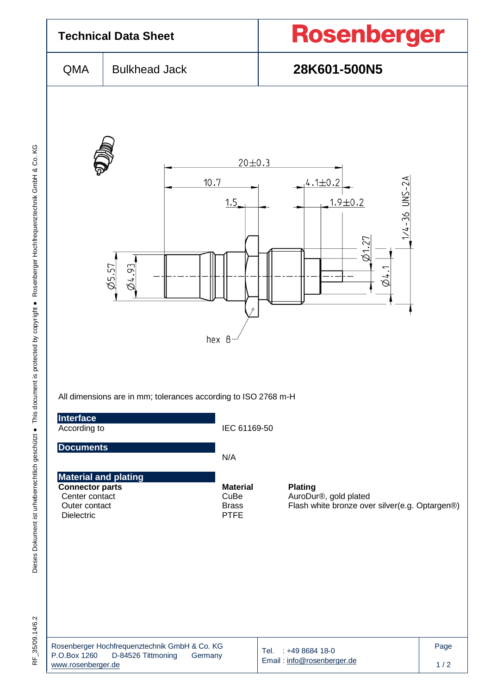

Dieses Dokument ist urheberrechtlich geschützt ● This document is protected by copyright ● Rosenberger Hochfrequenztechnik GmbH & Co. KG F\_35/09.14/6.2 Dieses Dokument ist urheberrechtlich geschützt ● This document is protected by copyright ● Rosenberger Hochfrequenztechnik GmbH & Co. KG

RF 35/09.14/6.2